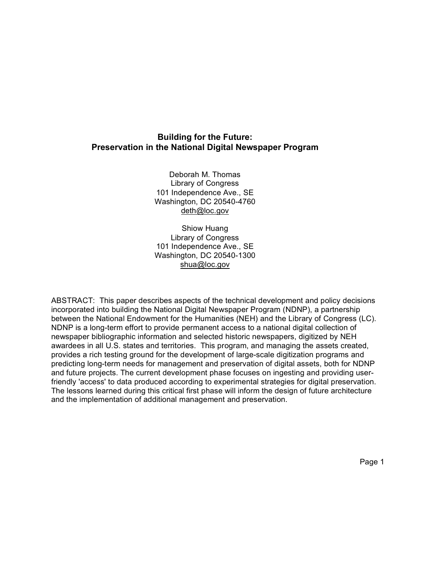# **Building for the Future: Preservation in the National Digital Newspaper Program**

Deborah M. Thomas Library of Congress 101 Independence Ave., SE Washington, DC 20540-4760 deth@loc.gov

Shiow Huang Library of Congress 101 Independence Ave., SE Washington, DC 20540-1300 shua@loc.gov

ABSTRACT: This paper describes aspects of the technical development and policy decisions incorporated into building the National Digital Newspaper Program (NDNP), a partnership between the National Endowment for the Humanities (NEH) and the Library of Congress (LC). NDNP is a long-term effort to provide permanent access to a national digital collection of newspaper bibliographic information and selected historic newspapers, digitized by NEH awardees in all U.S. states and territories. This program, and managing the assets created, provides a rich testing ground for the development of large-scale digitization programs and predicting long-term needs for management and preservation of digital assets, both for NDNP and future projects. The current development phase focuses on ingesting and providing userfriendly 'access' to data produced according to experimental strategies for digital preservation. The lessons learned during this critical first phase will inform the design of future architecture and the implementation of additional management and preservation.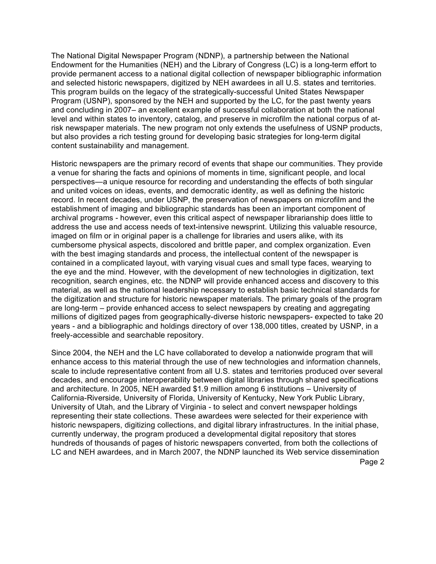The National Digital Newspaper Program (NDNP), a partnership between the National Endowment for the Humanities (NEH) and the Library of Congress (LC) is a long-term effort to provide permanent access to a national digital collection of newspaper bibliographic information and selected historic newspapers, digitized by NEH awardees in all U.S. states and territories. This program builds on the legacy of the strategically-successful United States Newspaper Program (USNP), sponsored by the NEH and supported by the LC, for the past twenty years and concluding in 2007– an excellent example of successful collaboration at both the national level and within states to inventory, catalog, and preserve in microfilm the national corpus of atrisk newspaper materials. The new program not only extends the usefulness of USNP products, but also provides a rich testing ground for developing basic strategies for long-term digital content sustainability and management.

Historic newspapers are the primary record of events that shape our communities. They provide a venue for sharing the facts and opinions of moments in time, significant people, and local perspectives—a unique resource for recording and understanding the effects of both singular and united voices on ideas, events, and democratic identity, as well as defining the historic record. In recent decades, under USNP, the preservation of newspapers on microfilm and the establishment of imaging and bibliographic standards has been an important component of archival programs - however, even this critical aspect of newspaper librarianship does little to address the use and access needs of text-intensive newsprint. Utilizing this valuable resource, imaged on film or in original paper is a challenge for libraries and users alike, with its cumbersome physical aspects, discolored and brittle paper, and complex organization. Even with the best imaging standards and process, the intellectual content of the newspaper is contained in a complicated layout, with varying visual cues and small type faces, wearying to the eye and the mind. However, with the development of new technologies in digitization, text recognition, search engines, etc. the NDNP will provide enhanced access and discovery to this material, as well as the national leadership necessary to establish basic technical standards for the digitization and structure for historic newspaper materials. The primary goals of the program are long-term – provide enhanced access to select newspapers by creating and aggregating millions of digitized pages from geographically-diverse historic newspapers- expected to take 20 years - and a bibliographic and holdings directory of over 138,000 titles, created by USNP, in a freely-accessible and searchable repository.

Page 2 Since 2004, the NEH and the LC have collaborated to develop a nationwide program that will enhance access to this material through the use of new technologies and information channels, scale to include representative content from all U.S. states and territories produced over several decades, and encourage interoperability between digital libraries through shared specifications and architecture. In 2005, NEH awarded \$1.9 million among 6 institutions – University of California-Riverside, University of Florida, University of Kentucky, New York Public Library, University of Utah, and the Library of Virginia - to select and convert newspaper holdings representing their state collections. These awardees were selected for their experience with historic newspapers, digitizing collections, and digital library infrastructures. In the initial phase, currently underway, the program produced a developmental digital repository that stores hundreds of thousands of pages of historic newspapers converted, from both the collections of LC and NEH awardees, and in March 2007, the NDNP launched its Web service dissemination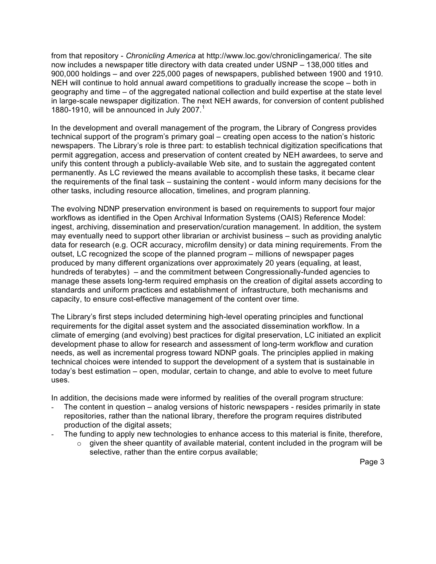from that repository - *Chronicling America* at http://www.loc.gov/chroniclingamerica/*.* The site now includes a newspaper title directory with data created under USNP – 138,000 titles and 900,000 holdings – and over 225,000 pages of newspapers, published between 1900 and 1910. NEH will continue to hold annual award competitions to gradually increase the scope – both in geography and time – of the aggregated national collection and build expertise at the state level in large-scale newspaper digitization. The next NEH awards, for conversion of content published 1880-1910, will be announced in July 2007.<sup>1</sup>

In the development and overall management of the program, the Library of Congress provides technical support of the program's primary goal – creating open access to the nation's historic newspapers. The Library's role is three part: to establish technical digitization specifications that permit aggregation, access and preservation of content created by NEH awardees, to serve and unify this content through a publicly-available Web site, and to sustain the aggregated content permanently. As LC reviewed the means available to accomplish these tasks, it became clear the requirements of the final task – sustaining the content - would inform many decisions for the other tasks, including resource allocation, timelines, and program planning.

The evolving NDNP preservation environment is based on requirements to support four major workflows as identified in the Open Archival Information Systems (OAIS) Reference Model: ingest, archiving, dissemination and preservation/curation management. In addition, the system may eventually need to support other librarian or archivist business – such as providing analytic data for research (e.g. OCR accuracy, microfilm density) or data mining requirements. From the outset, LC recognized the scope of the planned program – millions of newspaper pages produced by many different organizations over approximately 20 years (equaling, at least, hundreds of terabytes) – and the commitment between Congressionally-funded agencies to manage these assets long-term required emphasis on the creation of digital assets according to standards and uniform practices and establishment of infrastructure, both mechanisms and capacity, to ensure cost-effective management of the content over time.

The Library's first steps included determining high-level operating principles and functional requirements for the digital asset system and the associated dissemination workflow. In a climate of emerging (and evolving) best practices for digital preservation, LC initiated an explicit development phase to allow for research and assessment of long-term workflow and curation needs, as well as incremental progress toward NDNP goals. The principles applied in making technical choices were intended to support the development of a system that is sustainable in today's best estimation – open, modular, certain to change, and able to evolve to meet future uses.

In addition, the decisions made were informed by realities of the overall program structure:

- The content in question analog versions of historic newspapers resides primarily in state repositories, rather than the national library, therefore the program requires distributed production of the digital assets;
- The funding to apply new technologies to enhance access to this material is finite, therefore,
	- $\circ$  given the sheer quantity of available material, content included in the program will be selective, rather than the entire corpus available;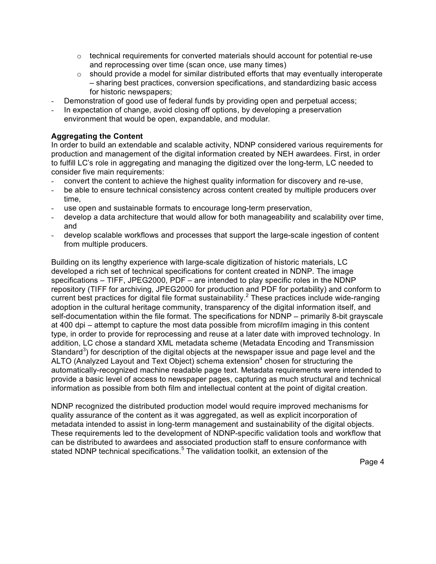- $\circ$  technical requirements for converted materials should account for potential re-use and reprocessing over time (scan once, use many times)
- $\circ$  should provide a model for similar distributed efforts that may eventually interoperate – sharing best practices, conversion specifications, and standardizing basic access for historic newspapers;
- Demonstration of good use of federal funds by providing open and perpetual access;
- In expectation of change, avoid closing off options, by developing a preservation environment that would be open, expandable, and modular*.*

## **Aggregating the Content**

In order to build an extendable and scalable activity, NDNP considered various requirements for production and management of the digital information created by NEH awardees. First, in order to fulfill LC's role in aggregating and managing the digitized over the long-term, LC needed to consider five main requirements:

- convert the content to achieve the highest quality information for discovery and re-use,
- be able to ensure technical consistency across content created by multiple producers over time,
- use open and sustainable formats to encourage long-term preservation,
- develop a data architecture that would allow for both manageability and scalability over time, and
- develop scalable workflows and processes that support the large-scale ingestion of content from multiple producers.

Building on its lengthy experience with large-scale digitization of historic materials, LC developed a rich set of technical specifications for content created in NDNP. The image specifications – TIFF, JPEG2000, PDF – are intended to play specific roles in the NDNP repository (TIFF for archiving, JPEG2000 for production and PDF for portability) and conform to current best practices for digital file format sustainability.<sup>2</sup> These practices include wide-ranging adoption in the cultural heritage community, transparency of the digital information itself, and self-documentation within the file format. The specifications for NDNP – primarily 8-bit grayscale at 400 dpi – attempt to capture the most data possible from microfilm imaging in this content type, in order to provide for reprocessing and reuse at a later date with improved technology. In addition, LC chose a standard XML metadata scheme (Metadata Encoding and Transmission Standard<sup>3</sup>) for description of the digital objects at the newspaper issue and page level and the ALTO (Analyzed Layout and Text Object) schema extension<sup>4</sup> chosen for structuring the automatically-recognized machine readable page text. Metadata requirements were intended to provide a basic level of access to newspaper pages, capturing as much structural and technical information as possible from both film and intellectual content at the point of digital creation.

NDNP recognized the distributed production model would require improved mechanisms for quality assurance of the content as it was aggregated, as well as explicit incorporation of metadata intended to assist in long-term management and sustainability of the digital objects. These requirements led to the development of NDNP-specific validation tools and workflow that can be distributed to awardees and associated production staff to ensure conformance with stated NDNP technical specifications.<sup>5</sup> The validation toolkit, an extension of the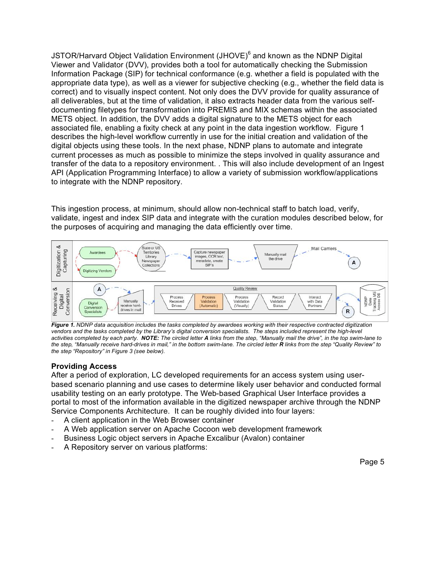JSTOR/Harvard Object Validation Environment (JHOVE)<sup>6</sup> and known as the NDNP Digital Viewer and Validator (DVV), provides both a tool for automatically checking the Submission Information Package (SIP) for technical conformance (e.g. whether a field is populated with the appropriate data type), as well as a viewer for subjective checking (e.g., whether the field data is correct) and to visually inspect content. Not only does the DVV provide for quality assurance of all deliverables, but at the time of validation, it also extracts header data from the various selfdocumenting filetypes for transformation into PREMIS and MIX schemas within the associated METS object. In addition, the DVV adds a digital signature to the METS object for each associated file, enabling a fixity check at any point in the data ingestion workflow. Figure 1 describes the high-level workflow currently in use for the initial creation and validation of the digital objects using these tools. In the next phase, NDNP plans to automate and integrate current processes as much as possible to minimize the steps involved in quality assurance and transfer of the data to a repository environment. . This will also include development of an Ingest API (Application Programming Interface) to allow a variety of submission workflow/applications to integrate with the NDNP repository.

This ingestion process, at minimum, should allow non-technical staff to batch load, verify, validate, ingest and index SIP data and integrate with the curation modules described below, for the purposes of acquiring and managing the data efficiently over time.



Figure 1. NDNP data acquisition includes the tasks completed by awardees working with their respective contracted digitization vendors and the tasks completed by the Library's digital conversion specialists. The steps included represent the high-level activities completed by each party. NOTE: The circled letter A links from the step, "Manually mail the drive", in the top swim-lane to the step, "Manually receive hard-drives in mail," in the bottom swim-lane. The circled letter R links from the step "Quality Review" to *the step "Repository" in Figure 3 (see below).*

### **Providing Access**

After a period of exploration, LC developed requirements for an access system using userbased scenario planning and use cases to determine likely user behavior and conducted formal usability testing on an early prototype. The Web-based Graphical User Interface provides a portal to most of the information available in the digitized newspaper archive through the NDNP Service Components Architecture. It can be roughly divided into four layers:

- A client application in the Web Browser container
- A Web application server on Apache Cocoon web development framework
- Business Logic object servers in Apache Excalibur (Avalon) container
- A Repository server on various platforms: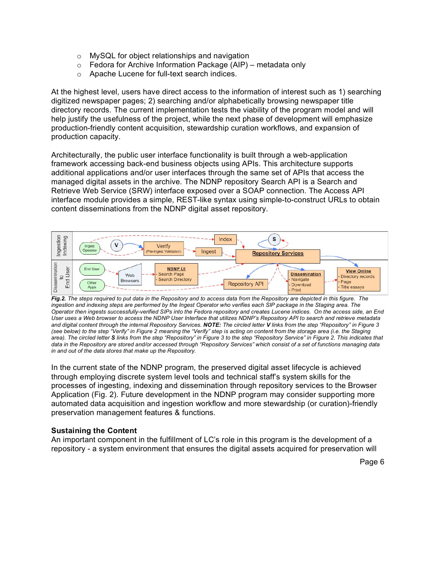- o MySQL for object relationships and navigation
- $\circ$  Fedora for Archive Information Package (AIP) metadata only
- o Apache Lucene for full-text search indices.

At the highest level, users have direct access to the information of interest such as 1) searching digitized newspaper pages; 2) searching and/or alphabetically browsing newspaper title directory records. The current implementation tests the viability of the program model and will help justify the usefulness of the project, while the next phase of development will emphasize production-friendly content acquisition, stewardship curation workflows, and expansion of production capacity.

Architecturally, the public user interface functionality is built through a web-application framework accessing back-end business objects using APIs. This architecture supports additional applications and/or user interfaces through the same set of APIs that access the managed digital assets in the archive. The NDNP repository Search API is a Search and Retrieve Web Service (SRW) interface exposed over a SOAP connection. The Access API interface module provides a simple, REST-like syntax using simple-to-construct URLs to obtain content disseminations from the NDNP digital asset repository.



Fig.2. The steps required to put data in the Repository and to access data from the Repository are depicted in this figure. The ingestion and indexing steps are performed by the Ingest Operator who verifies each SIP package in the Staging area. The Operator then ingests successfully-verified SIPs into the Fedora repository and creates Lucene indices. On the access side, an End User uses a Web browser to access the NDNP User Interface that utilizes NDNP's Repository API to search and retrieve metadata and digital content through the internal Repository Services. NOTE: The circled letter V links from the step "Repository" in Figure 3 (see below) to the step "Verify" in Figure 2 meaning the "Verify" step is acting on content from the storage area (i.e. the Staging area). The circled letter **S** links from the step "Repository" in Figure 3 to the step "Repository Service" in Figure 2. This indicates that data in the Repository are stored and/or accessed through "Repository Services" which consist of a set of functions managing data *in and out of the data stores that make up the Repository.*

In the current state of the NDNP program, the preserved digital asset lifecycle is achieved through employing discrete system level tools and technical staff's system skills for the processes of ingesting, indexing and dissemination through repository services to the Browser Application (Fig. 2). Future development in the NDNP program may consider supporting more automated data acquisition and ingestion workflow and more stewardship (or curation)-friendly preservation management features & functions.

### **Sustaining the Content**

An important component in the fulfillment of LC's role in this program is the development of a repository - a system environment that ensures the digital assets acquired for preservation will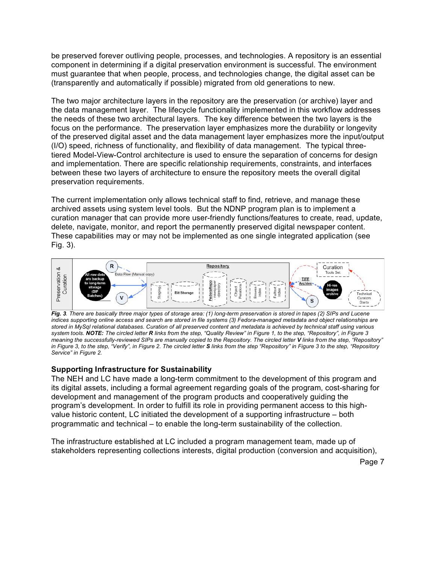be preserved forever outliving people, processes, and technologies. A repository is an essential component in determining if a digital preservation environment is successful. The environment must guarantee that when people, process, and technologies change, the digital asset can be (transparently and automatically if possible) migrated from old generations to new.

The two major architecture layers in the repository are the preservation (or archive) layer and the data management layer. The lifecycle functionality implemented in this workflow addresses the needs of these two architectural layers. The key difference between the two layers is the focus on the performance. The preservation layer emphasizes more the durability or longevity of the preserved digital asset and the data management layer emphasizes more the input/output (I/O) speed, richness of functionality, and flexibility of data management. The typical threetiered Model-View-Control architecture is used to ensure the separation of concerns for design and implementation. There are specific relationship requirements, constraints, and interfaces between these two layers of architecture to ensure the repository meets the overall digital preservation requirements.

The current implementation only allows technical staff to find, retrieve, and manage these archived assets using system level tools. But the NDNP program plan is to implement a curation manager that can provide more user-friendly functions/features to create, read, update, delete, navigate, monitor, and report the permanently preserved digital newspaper content. These capabilities may or may not be implemented as one single integrated application (see Fig. 3).



Fig. 3. There are basically three major types of storage area: (1) long-term preservation is stored in tapes (2) SIPs and Lucene indices supporting online access and search are stored in file systems (3) Fedora-managed metadata and object relationships are stored in MySql relational databases. Curation of all preserved content and metadata is achieved by technical staff using various system tools. NOTE: The circled letter R links from the step, "Quality Review" in Figure 1, to the step, "Repository", in Figure 3 meaning the successfully-reviewed SIPs are manually copied to the Repository. The circled letter V links from the step, "Repository" in Figure 3, to the step, "Verify", in Figure 2. The circled letter S links from the step "Repository" in Figure 3 to the step, "Repository *Service" in Figure 2.*

### **Supporting Infrastructure for Sustainability**

The NEH and LC have made a long-term commitment to the development of this program and its digital assets, including a formal agreement regarding goals of the program, cost-sharing for development and management of the program products and cooperatively guiding the program's development. In order to fulfill its role in providing permanent access to this highvalue historic content, LC initiated the development of a supporting infrastructure – both programmatic and technical – to enable the long-term sustainability of the collection.

The infrastructure established at LC included a program management team, made up of stakeholders representing collections interests, digital production (conversion and acquisition),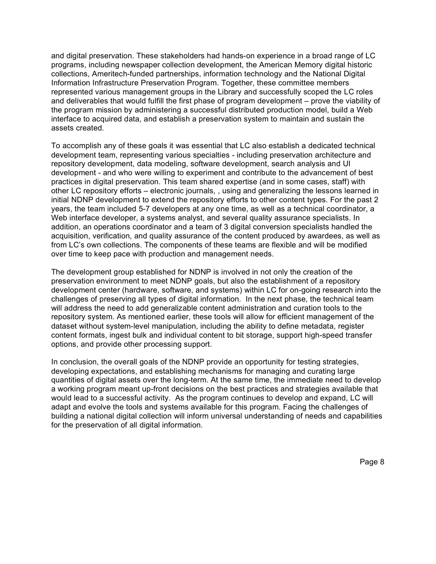and digital preservation. These stakeholders had hands-on experience in a broad range of LC programs, including newspaper collection development, the American Memory digital historic collections, Ameritech-funded partnerships, information technology and the National Digital Information Infrastructure Preservation Program. Together, these committee members represented various management groups in the Library and successfully scoped the LC roles and deliverables that would fulfill the first phase of program development – prove the viability of the program mission by administering a successful distributed production model, build a Web interface to acquired data, and establish a preservation system to maintain and sustain the assets created.

To accomplish any of these goals it was essential that LC also establish a dedicated technical development team, representing various specialties - including preservation architecture and repository development, data modeling, software development, search analysis and UI development - and who were willing to experiment and contribute to the advancement of best practices in digital preservation. This team shared expertise (and in some cases, staff) with other LC repository efforts – electronic journals, , using and generalizing the lessons learned in initial NDNP development to extend the repository efforts to other content types. For the past 2 years, the team included 5-7 developers at any one time, as well as a technical coordinator, a Web interface developer, a systems analyst, and several quality assurance specialists. In addition, an operations coordinator and a team of 3 digital conversion specialists handled the acquisition, verification, and quality assurance of the content produced by awardees, as well as from LC's own collections. The components of these teams are flexible and will be modified over time to keep pace with production and management needs.

The development group established for NDNP is involved in not only the creation of the preservation environment to meet NDNP goals, but also the establishment of a repository development center (hardware, software, and systems) within LC for on-going research into the challenges of preserving all types of digital information. In the next phase, the technical team will address the need to add generalizable content administration and curation tools to the repository system. As mentioned earlier, these tools will allow for efficient management of the dataset without system-level manipulation, including the ability to define metadata, register content formats, ingest bulk and individual content to bit storage, support high-speed transfer options, and provide other processing support.

In conclusion, the overall goals of the NDNP provide an opportunity for testing strategies, developing expectations, and establishing mechanisms for managing and curating large quantities of digital assets over the long-term. At the same time, the immediate need to develop a working program meant up-front decisions on the best practices and strategies available that would lead to a successful activity. As the program continues to develop and expand, LC will adapt and evolve the tools and systems available for this program. Facing the challenges of building a national digital collection will inform universal understanding of needs and capabilities for the preservation of all digital information.